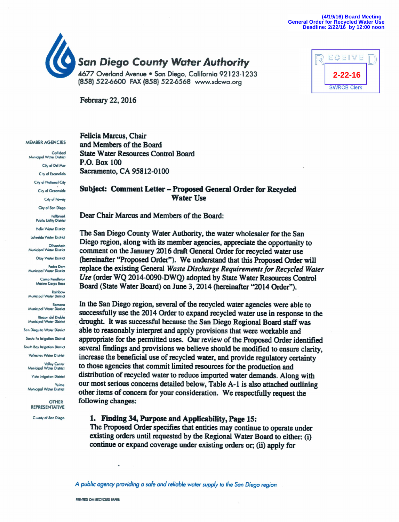



February 22, 2016

#### **MEMBER AGENCIES**

Carlsbad Municipal Water District City of Del Mar City of Escondido City of National City City of Oceanside City of Poway City of San Diego **Fallbrook Public Utility District Halix Water District** Lakeside Water District Olivenhair **Alunicinal Water District** Otay Water District **Padre Dam** Municiped Water District **Camp Pendleton** Marine Corps Base Rainbo Municipal Water District **Municipal Water District Rincon del Diablo Municipal Water District** San Dieguito Water District **Santa Fe Irrigation District South Bay Irrigation District Vallecitos Water District** Valley Center<br>Municipal Water District **Vista Injootion District** Yuima Municipal Water District

> **OTHER REPRESENTATIVE**

County of San Diego

Felicia Marcus, Chair and Members of the Board **State Water Resources Control Board** P.O. Box 100 Sacramento, CA 95812-0100

#### Subject: Comment Letter - Proposed General Order for Recycled **Water Use**

Dear Chair Marcus and Members of the Board:

The San Diego County Water Authority, the water wholesaler for the San Diego region, along with its member agencies, appreciate the opportunity to comment on the January 2016 draft General Order for recycled water use (hereinafter "Proposed Order"). We understand that this Proposed Order will replace the existing General Waste Discharge Requirements for Recycled Water Use (order WQ 2014-0090-DWQ) adopted by State Water Resources Control Board (State Water Board) on June 3, 2014 (hereinafter "2014 Order").

In the San Diego region, several of the recycled water agencies were able to successfully use the 2014 Order to expand recycled water use in response to the drought. It was successful because the San Diego Regional Board staff was able to reasonably interpret and apply provisions that were workable and appropriate for the permitted uses. Our review of the Proposed Order identified several findings and provisions we believe should be modified to ensure clarity, increase the beneficial use of recycled water, and provide regulatory certainty to those agencies that commit limited resources for the production and distribution of recycled water to reduce imported water demands. Along with our most serious concerns detailed below, Table A-1 is also attached outlining other items of concern for your consideration. We respectfully request the following changes:

#### 1. Finding 34, Purpose and Applicability, Page 15:

The Proposed Order specifies that entities may continue to operate under existing orders until requested by the Regional Water Board to either: (i) continue or expand coverage under existing orders or; (ii) apply for

A public agency providing a safe and reliable water supply to the San Diego region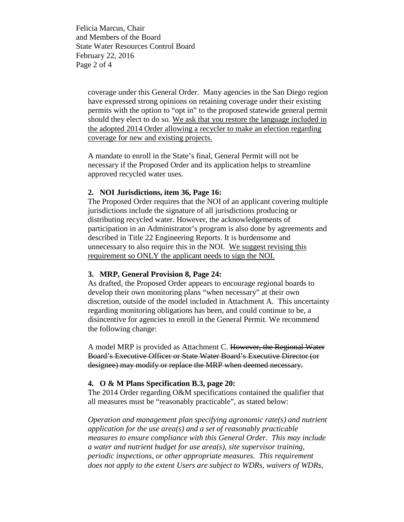Felicia Marcus, Chair and Members of the Board State Water Resources Control Board February 22, 2016 Page 2 of 4

> coverage under this General Order. Many agencies in the San Diego region have expressed strong opinions on retaining coverage under their existing permits with the option to "opt in" to the proposed statewide general permit should they elect to do so. We ask that you restore the language included in the adopted 2014 Order allowing a recycler to make an election regarding coverage for new and existing projects.

A mandate to enroll in the State's final, General Permit will not be necessary if the Proposed Order and its application helps to streamline approved recycled water uses.

### **2. NOI Jurisdictions, item 36, Page 16:**

The Proposed Order requires that the NOI of an applicant covering multiple jurisdictions include the signature of all jurisdictions producing or distributing recycled water. However, the acknowledgements of participation in an Administrator's program is also done by agreements and described in Title 22 Engineering Reports. It is burdensome and unnecessary to also require this in the NOI. We suggest revising this requirement so ONLY the applicant needs to sign the NOI.

### **3. MRP, General Provision 8, Page 24:**

As drafted, the Proposed Order appears to encourage regional boards to develop their own monitoring plans "when necessary" at their own discretion, outside of the model included in Attachment A. This uncertainty regarding monitoring obligations has been, and could continue to be, a disincentive for agencies to enroll in the General Permit. We recommend the following change:

A model MRP is provided as Attachment C. However, the Regional Water Board's Executive Officer or State Water Board's Executive Director (or designee) may modify or replace the MRP when deemed necessary.

### **4. O & M Plans Specification B.3, page 20:**

The 2014 Order regarding O&M specifications contained the qualifier that all measures must be "reasonably practicable", as stated below:

*Operation and management plan specifying agronomic rate(s) and nutrient application for the use area(s) and a set of reasonably practicable measures to ensure compliance with this General Order. This may include a water and nutrient budget for use area(s), site supervisor training, periodic inspections, or other appropriate measures. This requirement does not apply to the extent Users are subject to WDRs, waivers of WDRs,*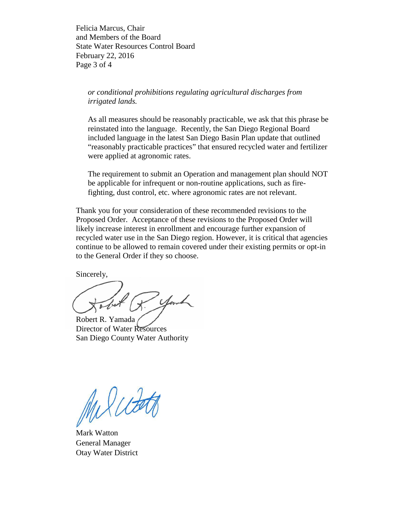Felicia Marcus, Chair and Members of the Board State Water Resources Control Board February 22, 2016 Page 3 of 4

*or conditional prohibitions regulating agricultural discharges from irrigated lands.*

As all measures should be reasonably practicable, we ask that this phrase be reinstated into the language. Recently, the San Diego Regional Board included language in the latest San Diego Basin Plan update that outlined "reasonably practicable practices" that ensured recycled water and fertilizer were applied at agronomic rates.

The requirement to submit an Operation and management plan should NOT be applicable for infrequent or non-routine applications, such as firefighting, dust control, etc. where agronomic rates are not relevant.

Thank you for your consideration of these recommended revisions to the Proposed Order. Acceptance of these revisions to the Proposed Order will likely increase interest in enrollment and encourage further expansion of recycled water use in the San Diego region. However, it is critical that agencies continue to be allowed to remain covered under their existing permits or opt-in to the General Order if they so choose.

Sincerely,

.<br>Serv

Robert R. Yamada Director of Water Resources San Diego County Water Authority

Milcott

Mark Watton General Manager Otay Water District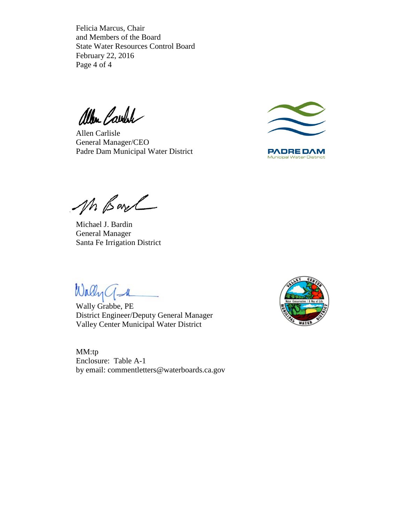Felicia Marcus, Chair and Members of the Board State Water Resources Control Board February 22, 2016 Page 4 of 4

allen Carolin

Allen Carlisle General Manager/CEO Padre Dam Municipal Water District



**PADREDAM Municipal Water District** 

Mr Barch

Michael J. Bardin General Manager Santa Fe Irrigation District

Wally a

Wally Grabbe, PE District Engineer/Deputy General Manager Valley Center Municipal Water District

MM:tp Enclosure: Table A-1 by email: commentletters@waterboards.ca.gov

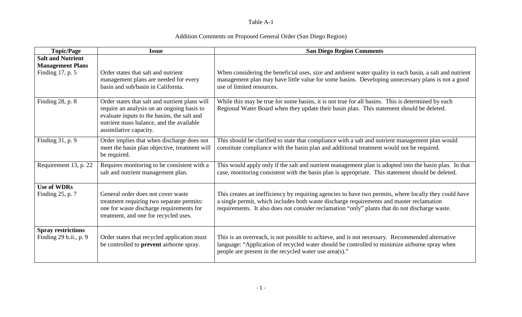## Table A-1

# Addition Comments on Proposed General Order (San Diego Region)

| <b>Topic/Page</b>                                   | <b>Issue</b>                                                                                                                                                                                                      | <b>San Diego Region Comments</b>                                                                                                                                                                                                                                                                    |
|-----------------------------------------------------|-------------------------------------------------------------------------------------------------------------------------------------------------------------------------------------------------------------------|-----------------------------------------------------------------------------------------------------------------------------------------------------------------------------------------------------------------------------------------------------------------------------------------------------|
| <b>Salt and Nutrient</b><br><b>Management Plans</b> |                                                                                                                                                                                                                   |                                                                                                                                                                                                                                                                                                     |
| Finding 17, p. 5                                    | Order states that salt and nutrient<br>management plans are needed for every<br>basin and sub/basin in California.                                                                                                | When considering the beneficial uses, size and ambient water quality in each basin, a salt and nutrient<br>management plan may have little value for some basins. Developing unnecessary plans is not a good<br>use of limited resources.                                                           |
| Finding $28$ , p. $8$                               | Order states that salt and nutrient plans will<br>require an analysis on an ongoing basis to<br>evaluate inputs to the basins, the salt and<br>nutrient mass balance, and the available<br>assimilative capacity. | While this may be true for some basins, it is not true for all basins. This is determined by each<br>Regional Water Board when they update their basin plan. This statement should be deleted.                                                                                                      |
| Finding 31, p. 9                                    | Order implies that when discharge does not<br>meet the basin plan objective, treatment will<br>be required.                                                                                                       | This should be clarified to state that compliance with a salt and nutrient management plan would<br>constitute compliance with the basin plan and additional treatment would not be required.                                                                                                       |
| Requirement 13, p. 22                               | Requires monitoring to be consistent with a<br>salt and nutrient management plan.                                                                                                                                 | This would apply only if the salt and nutrient management plan is adopted into the basin plan. In that<br>case, monitoring consistent with the basin plan is appropriate. This statement should be deleted.                                                                                         |
| <b>Use of WDRs</b><br>Finding $25$ , p. 7           | General order does not cover waste<br>treatment requiring two separate permits:<br>one for waste discharge requirements for<br>treatment, and one for recycled uses.                                              | This creates an inefficiency by requiring agencies to have two permits, where locally they could have<br>a single permit, which includes both waste discharge requirements and master reclamation<br>requirements. It also does not consider reclamation "only" plants that do not discharge waste. |
| <b>Spray restrictions</b><br>Finding 29 b.ii., p. 9 | Order states that recycled application must<br>be controlled to prevent airborne spray.                                                                                                                           | This is an overreach, is not possible to achieve, and is not necessary. Recommended alternative<br>language: "Application of recycled water should be controlled to minimize airborne spray when<br>people are present in the recycled water use area(s)."                                          |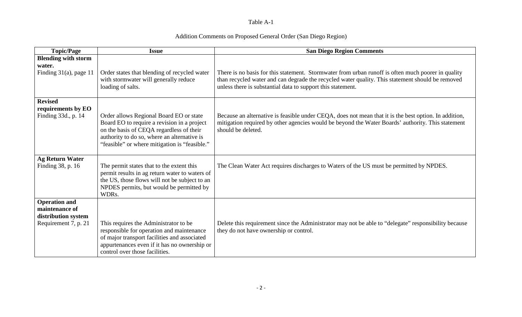## Table A-1

# Addition Comments on Proposed General Order (San Diego Region)

| <b>Topic/Page</b>                     | <b>Issue</b>                                                                                                                                                                                                                       | <b>San Diego Region Comments</b>                                                                                                                                                                                                                                      |
|---------------------------------------|------------------------------------------------------------------------------------------------------------------------------------------------------------------------------------------------------------------------------------|-----------------------------------------------------------------------------------------------------------------------------------------------------------------------------------------------------------------------------------------------------------------------|
| <b>Blending with storm</b><br>water.  |                                                                                                                                                                                                                                    |                                                                                                                                                                                                                                                                       |
| Finding $31(a)$ , page 11             | Order states that blending of recycled water<br>with stormwater will generally reduce<br>loading of salts.                                                                                                                         | There is no basis for this statement. Stormwater from urban runoff is often much poorer in quality<br>than recycled water and can degrade the recycled water quality. This statement should be removed<br>unless there is substantial data to support this statement. |
| <b>Revised</b><br>requirements by EO  |                                                                                                                                                                                                                                    |                                                                                                                                                                                                                                                                       |
| Finding 33d., p. 14                   | Order allows Regional Board EO or state<br>Board EO to require a revision in a project<br>on the basis of CEQA regardless of their<br>authority to do so, where an alternative is<br>"feasible" or where mitigation is "feasible." | Because an alternative is feasible under CEQA, does not mean that it is the best option. In addition,<br>mitigation required by other agencies would be beyond the Water Boards' authority. This statement<br>should be deleted.                                      |
| <b>Ag Return Water</b>                |                                                                                                                                                                                                                                    |                                                                                                                                                                                                                                                                       |
| Finding 38, p. 16                     | The permit states that to the extent this<br>permit results in ag return water to waters of<br>the US, those flows will not be subject to an<br>NPDES permits, but would be permitted by<br>WDRs.                                  | The Clean Water Act requires discharges to Waters of the US must be permitted by NPDES.                                                                                                                                                                               |
| <b>Operation and</b>                  |                                                                                                                                                                                                                                    |                                                                                                                                                                                                                                                                       |
| maintenance of<br>distribution system |                                                                                                                                                                                                                                    |                                                                                                                                                                                                                                                                       |
| Requirement 7, p. 21                  | This requires the Administrator to be<br>responsible for operation and maintenance<br>of major transport facilities and associated<br>appurtenances even if it has no ownership or<br>control over those facilities.               | Delete this requirement since the Administrator may not be able to "delegate" responsibility because<br>they do not have ownership or control.                                                                                                                        |